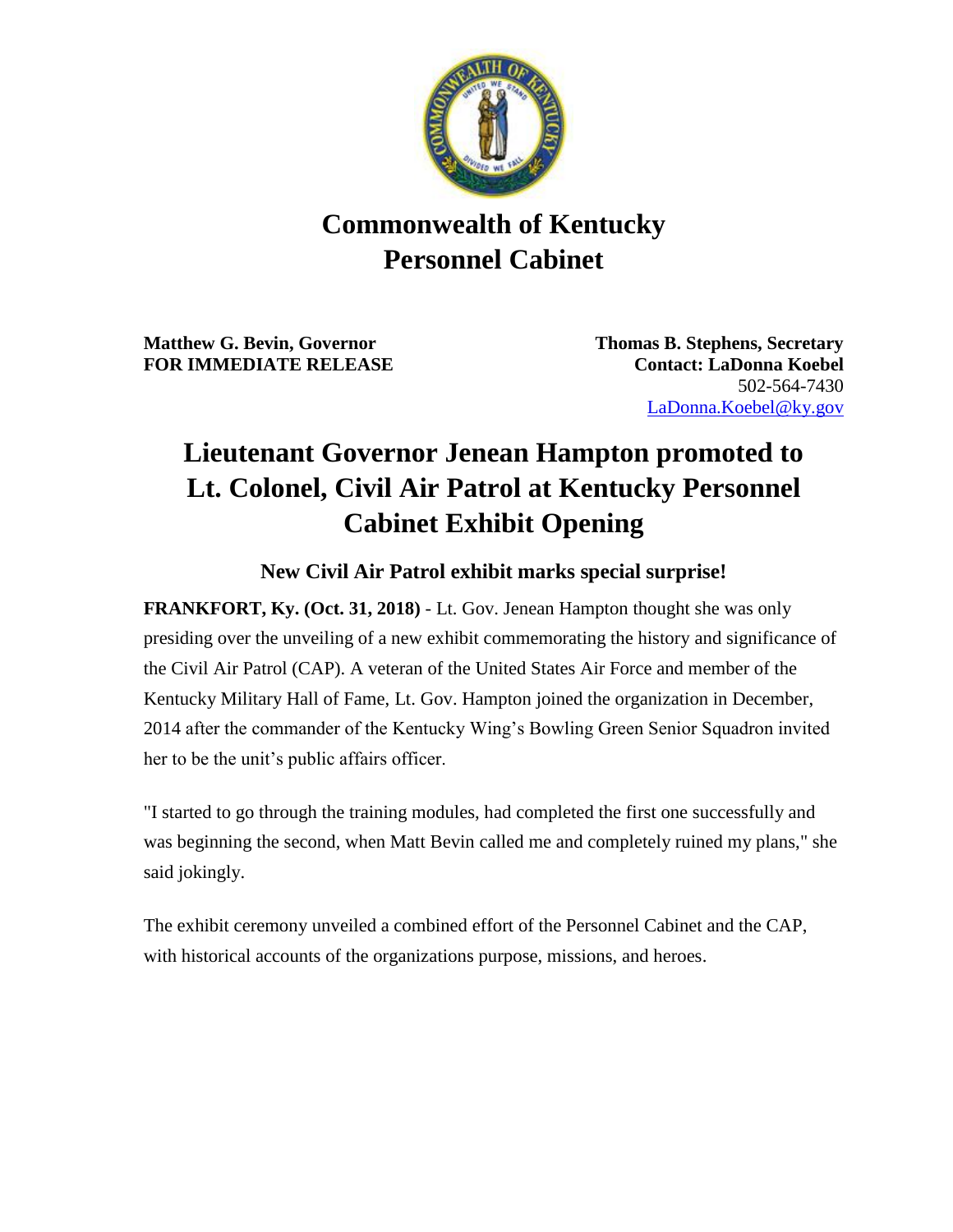

## **Commonwealth of Kentucky Personnel Cabinet**

**Matthew G. Bevin, Governor Thomas B. Stephens, Secretary FOR IMMEDIATE RELEASE Contact: LaDonna Koebel**

502-564-7430 [LaDonna.Koebel@ky.gov](mailto:LaDonna.Koebel.ky.gov)

## **Lieutenant Governor Jenean Hampton promoted to Lt. Colonel, Civil Air Patrol at Kentucky Personnel Cabinet Exhibit Opening**

## **New Civil Air Patrol exhibit marks special surprise!**

**FRANKFORT, Ky. (Oct. 31, 2018)** - Lt. Gov. Jenean Hampton thought she was only presiding over the unveiling of a new exhibit commemorating the history and significance of the Civil Air Patrol (CAP). A veteran of the United States Air Force and member of the Kentucky Military Hall of Fame, Lt. Gov. Hampton joined the organization in December, 2014 after the commander of the Kentucky Wing's Bowling Green Senior Squadron invited her to be the unit's public affairs officer.

"I started to go through the training modules, had completed the first one successfully and was beginning the second, when Matt Bevin called me and completely ruined my plans," she said jokingly.

The exhibit ceremony unveiled a combined effort of the Personnel Cabinet and the CAP, with historical accounts of the organizations purpose, missions, and heroes.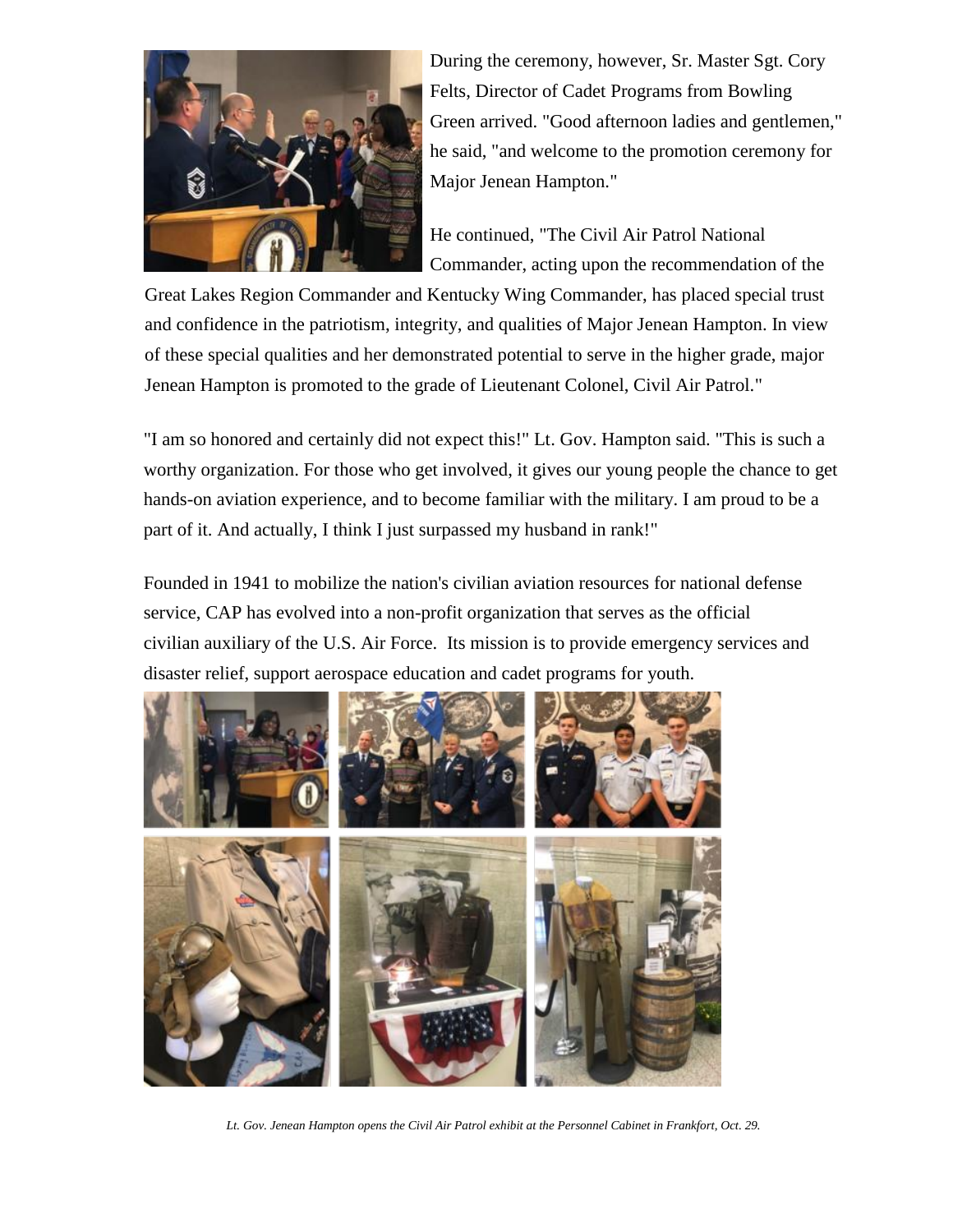

During the ceremony, however, Sr. Master Sgt. Cory Felts, Director of Cadet Programs from Bowling Green arrived. "Good afternoon ladies and gentlemen," he said, "and welcome to the promotion ceremony for Major Jenean Hampton."

He continued, "The Civil Air Patrol National Commander, acting upon the recommendation of the

Great Lakes Region Commander and Kentucky Wing Commander, has placed special trust and confidence in the patriotism, integrity, and qualities of Major Jenean Hampton. In view of these special qualities and her demonstrated potential to serve in the higher grade, major Jenean Hampton is promoted to the grade of Lieutenant Colonel, Civil Air Patrol."

"I am so honored and certainly did not expect this!" Lt. Gov. Hampton said. "This is such a worthy organization. For those who get involved, it gives our young people the chance to get hands-on aviation experience, and to become familiar with the military. I am proud to be a part of it. And actually, I think I just surpassed my husband in rank!"

Founded in 1941 to mobilize the nation's civilian aviation resources for national defense service, CAP has evolved into a non-profit organization that serves as the official civilian auxiliary of the U.S. Air Force. Its mission is to provide emergency services and disaster relief, support aerospace education and cadet programs for youth.



*Lt. Gov. Jenean Hampton opens the Civil Air Patrol exhibit at the Personnel Cabinet in Frankfort, Oct. 29.*